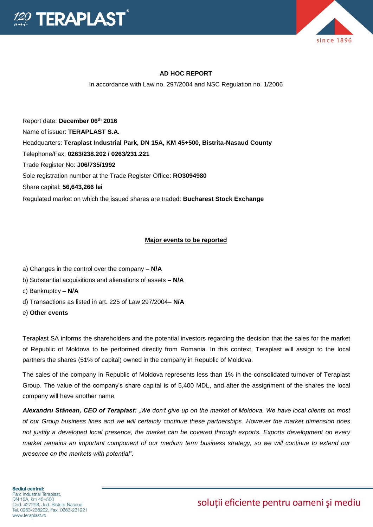



### **AD HOC REPORT**

In accordance with Law no. 297/2004 and NSC Regulation no. 1/2006

Report date: **December 06th 2016** Name of issuer: **TERAPLAST S.A.**  Headquarters: **Teraplast Industrial Park, DN 15A, KM 45+500, Bistrita-Nasaud County** Telephone/Fax: **0263/238.202 / 0263/231.221** Trade Register No: **J06/735/1992** Sole registration number at the Trade Register Office: **RO3094980** Share capital: **56,643,266 lei**  Regulated market on which the issued shares are traded: **Bucharest Stock Exchange**

#### **Major events to be reported**

- a) Changes in the control over the company **– N/A**
- b) Substantial acquisitions and alienations of assets **– N/A**
- c) Bankruptcy **– N/A**
- d) Transactions as listed in art. 225 of Law 297/2004**– N/A**
- e) **Other events**

Teraplast SA informs the shareholders and the potential investors regarding the decision that the sales for the market of Republic of Moldova to be performed directly from Romania. In this context, Teraplast will assign to the local partners the shares (51% of capital) owned in the company in Republic of Moldova.

The sales of the company in Republic of Moldova represents less than 1% in the consolidated turnover of Teraplast Group. The value of the company's share capital is of 5,400 MDL, and after the assignment of the shares the local company will have another name.

*Alexandru Stânean, CEO of Teraplast: "We don't give up on the market of Moldova. We have local clients on most of our Group business lines and we will certainly continue these partnerships. However the market dimension does not justify a developed local presence, the market can be covered through exports. Exports development on every market remains an important component of our medium term business strategy, so we will continue to extend our presence on the markets with potential".*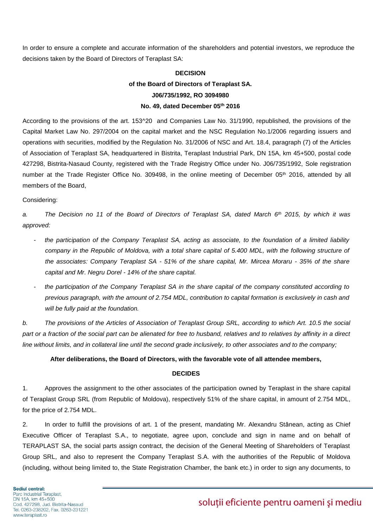In order to ensure a complete and accurate information of the shareholders and potential investors, we reproduce the decisions taken by the Board of Directors of Teraplast SA:

## **DECISION of the Board of Directors of Teraplast SA. J06/735/1992, RO 3094980 No. 49, dated December 05th 2016**

According to the provisions of the art. 153^20 and Companies Law No. 31/1990, republished, the provisions of the Capital Market Law No. 297/2004 on the capital market and the NSC Regulation No.1/2006 regarding issuers and operations with securities, modified by the Regulation No. 31/2006 of NSC and Art. 18.4, paragraph (7) of the Articles of Association of Teraplast SA, headquartered in Bistrita, Teraplast Industrial Park, DN 15A, km 45+500, postal code 427298, Bistrita-Nasaud County, registered with the Trade Registry Office under No. J06/735/1992, Sole registration number at the Trade Register Office No. 309498, in the online meeting of December 05<sup>th</sup> 2016, attended by all members of the Board,

#### Considering:

*a. The Decision no 11 of the Board of Directors of Teraplast SA, dated March 6th 2015, by which it was approved:* 

- *the participation of the Company Teraplast SA, acting as associate, to the foundation of a limited liability company in the Republic of Moldova, with a total share capital of 5.400 MDL, with the following structure of the associates: Company Teraplast SA - 51% of the share capital, Mr. Mircea Moraru - 35% of the share capital and Mr. Negru Dorel - 14% of the share capital.*
- *the participation of the Company Teraplast SA in the share capital of the company constituted according to previous paragraph, with the amount of 2.754 MDL, contribution to capital formation is exclusively in cash and will be fully paid at the foundation.*

*b. The provisions of the Articles of Association of Teraplast Group SRL, according to which Art. 10.5 the social part or a fraction of the social part can be alienated for free to husband, relatives and to relatives by affinity in a direct line without limits, and in collateral line until the second grade inclusively, to other associates and to the company;*

#### **After deliberations, the Board of Directors, with the favorable vote of all attendee members,**

#### **DECIDES**

1. Approves the assignment to the other associates of the participation owned by Teraplast in the share capital of Teraplast Group SRL (from Republic of Moldova), respectively 51% of the share capital, in amount of 2.754 MDL, for the price of 2.754 MDL.

2. In order to fulfill the provisions of art. 1 of the present, mandating Mr. Alexandru Stânean, acting as Chief Executive Officer of Teraplast S.A., to negotiate, agree upon, conclude and sign in name and on behalf of TERAPLAST SA, the social parts assign contract, the decision of the General Meeting of Shareholders of Teraplast Group SRL, and also to represent the Company Teraplast S.A. with the authorities of the Republic of Moldova (including, without being limited to, the State Registration Chamber, the bank etc.) in order to sign any documents, to

# soluții eficiente pentru oameni și mediu